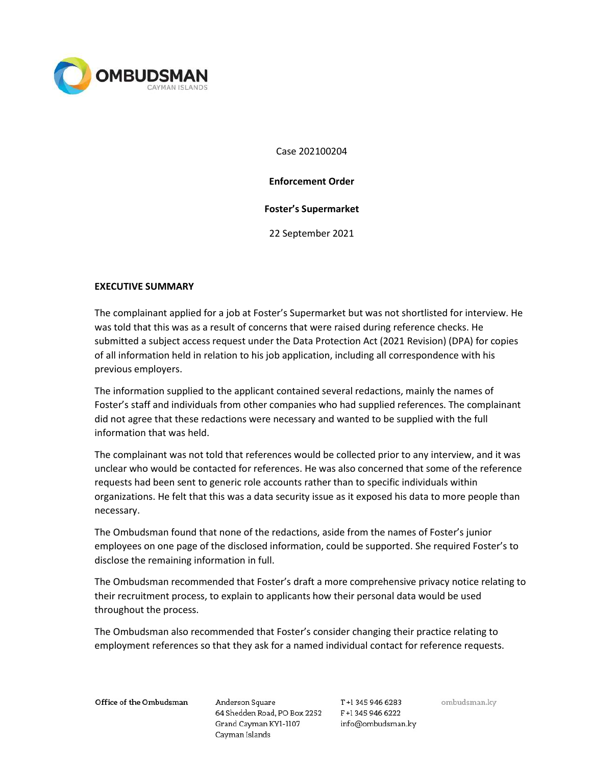

Case 202100204

Enforcement Order

### Foster's Supermarket

22 September 2021

### EXECUTIVE SUMMARY

The complainant applied for a job at Foster's Supermarket but was not shortlisted for interview. He was told that this was as a result of concerns that were raised during reference checks. He submitted a subject access request under the Data Protection Act (2021 Revision) (DPA) for copies of all information held in relation to his job application, including all correspondence with his previous employers.

The information supplied to the applicant contained several redactions, mainly the names of Foster's staff and individuals from other companies who had supplied references. The complainant did not agree that these redactions were necessary and wanted to be supplied with the full information that was held.

The complainant was not told that references would be collected prior to any interview, and it was unclear who would be contacted for references. He was also concerned that some of the reference requests had been sent to generic role accounts rather than to specific individuals within organizations. He felt that this was a data security issue as it exposed his data to more people than necessary.

The Ombudsman found that none of the redactions, aside from the names of Foster's junior employees on one page of the disclosed information, could be supported. She required Foster's to disclose the remaining information in full.

The Ombudsman recommended that Foster's draft a more comprehensive privacy notice relating to their recruitment process, to explain to applicants how their personal data would be used throughout the process.

The Ombudsman also recommended that Foster's consider changing their practice relating to employment references so that they ask for a named individual contact for reference requests.

Office of the Ombudsman

Anderson Square 64 Shedden Road, PO Box 2252 F+1 345 946 6222 Grand Cayman KY1-1107 Cayman Islands

T+1 345 946 6283 info@ombudsman.ky ombudsman.ky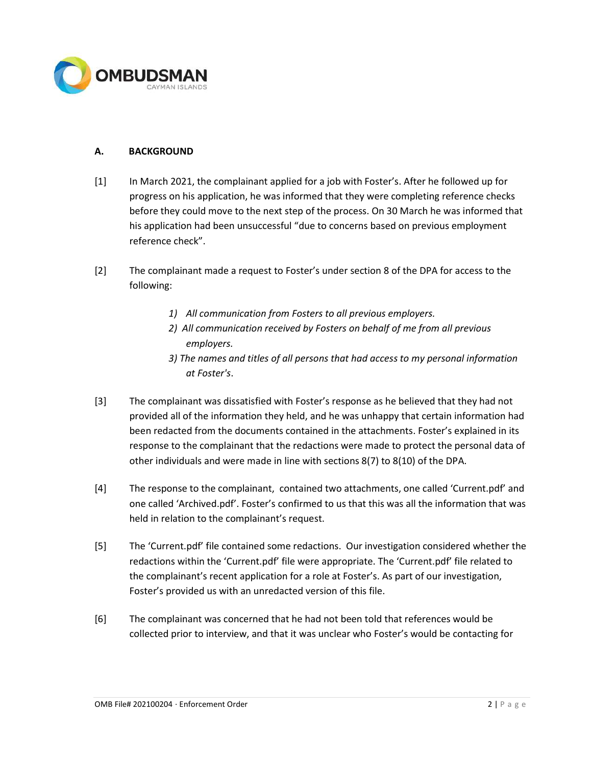

## A. BACKGROUND

- [1] In March 2021, the complainant applied for a job with Foster's. After he followed up for progress on his application, he was informed that they were completing reference checks before they could move to the next step of the process. On 30 March he was informed that his application had been unsuccessful "due to concerns based on previous employment reference check".
- [2] The complainant made a request to Foster's under section 8 of the DPA for access to the following:
	- 1) All communication from Fosters to all previous employers.
	- 2) All communication received by Fosters on behalf of me from all previous employers.
	- 3) The names and titles of all persons that had access to my personal information at Foster's.
- [3] The complainant was dissatisfied with Foster's response as he believed that they had not provided all of the information they held, and he was unhappy that certain information had been redacted from the documents contained in the attachments. Foster's explained in its response to the complainant that the redactions were made to protect the personal data of other individuals and were made in line with sections 8(7) to 8(10) of the DPA.
- [4] The response to the complainant, contained two attachments, one called 'Current.pdf' and one called 'Archived.pdf'. Foster's confirmed to us that this was all the information that was held in relation to the complainant's request.
- [5] The 'Current.pdf' file contained some redactions. Our investigation considered whether the redactions within the 'Current.pdf' file were appropriate. The 'Current.pdf' file related to the complainant's recent application for a role at Foster's. As part of our investigation, Foster's provided us with an unredacted version of this file.
- [6] The complainant was concerned that he had not been told that references would be collected prior to interview, and that it was unclear who Foster's would be contacting for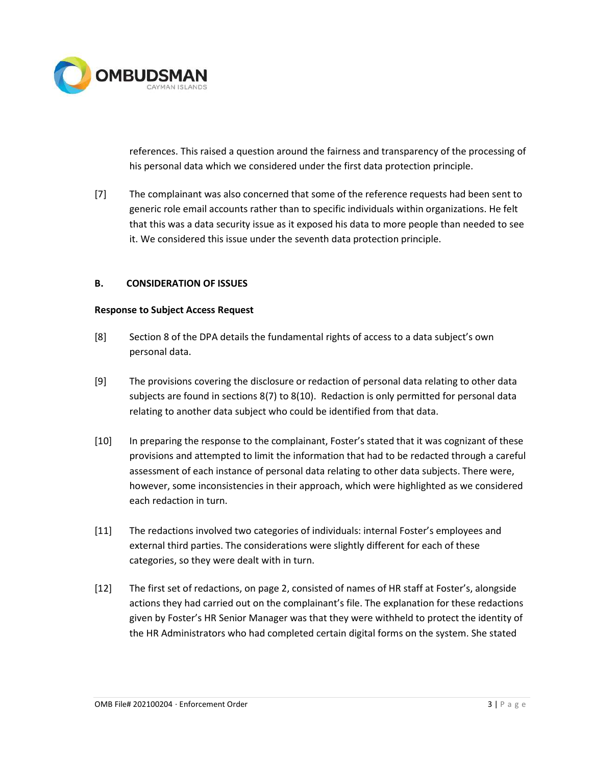

references. This raised a question around the fairness and transparency of the processing of his personal data which we considered under the first data protection principle.

[7] The complainant was also concerned that some of the reference requests had been sent to generic role email accounts rather than to specific individuals within organizations. He felt that this was a data security issue as it exposed his data to more people than needed to see it. We considered this issue under the seventh data protection principle.

### B. CONSIDERATION OF ISSUES

#### Response to Subject Access Request

- [8] Section 8 of the DPA details the fundamental rights of access to a data subject's own personal data.
- [9] The provisions covering the disclosure or redaction of personal data relating to other data subjects are found in sections 8(7) to 8(10). Redaction is only permitted for personal data relating to another data subject who could be identified from that data.
- [10] In preparing the response to the complainant, Foster's stated that it was cognizant of these provisions and attempted to limit the information that had to be redacted through a careful assessment of each instance of personal data relating to other data subjects. There were, however, some inconsistencies in their approach, which were highlighted as we considered each redaction in turn.
- [11] The redactions involved two categories of individuals: internal Foster's employees and external third parties. The considerations were slightly different for each of these categories, so they were dealt with in turn.
- [12] The first set of redactions, on page 2, consisted of names of HR staff at Foster's, alongside actions they had carried out on the complainant's file. The explanation for these redactions given by Foster's HR Senior Manager was that they were withheld to protect the identity of the HR Administrators who had completed certain digital forms on the system. She stated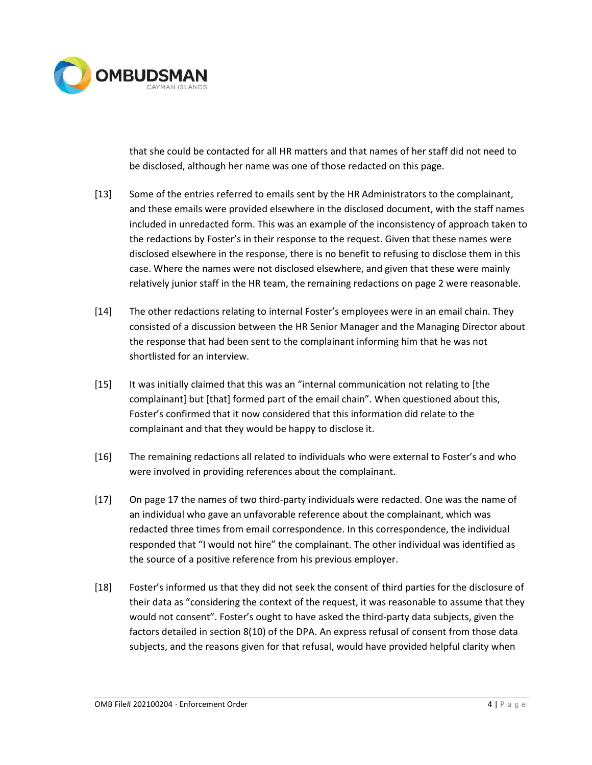

that she could be contacted for all HR matters and that names of her staff did not need to be disclosed, although her name was one of those redacted on this page.

- [13] Some of the entries referred to emails sent by the HR Administrators to the complainant, and these emails were provided elsewhere in the disclosed document, with the staff names included in unredacted form. This was an example of the inconsistency of approach taken to the redactions by Foster's in their response to the request. Given that these names were disclosed elsewhere in the response, there is no benefit to refusing to disclose them in this case. Where the names were not disclosed elsewhere, and given that these were mainly relatively junior staff in the HR team, the remaining redactions on page 2 were reasonable.
- [14] The other redactions relating to internal Foster's employees were in an email chain. They consisted of a discussion between the HR Senior Manager and the Managing Director about the response that had been sent to the complainant informing him that he was not shortlisted for an interview.
- [15] It was initially claimed that this was an "internal communication not relating to [the complainant] but [that] formed part of the email chain". When questioned about this, Foster's confirmed that it now considered that this information did relate to the complainant and that they would be happy to disclose it.
- [16] The remaining redactions all related to individuals who were external to Foster's and who were involved in providing references about the complainant.
- [17] On page 17 the names of two third-party individuals were redacted. One was the name of an individual who gave an unfavorable reference about the complainant, which was redacted three times from email correspondence. In this correspondence, the individual responded that "I would not hire" the complainant. The other individual was identified as the source of a positive reference from his previous employer.
- [18] Foster's informed us that they did not seek the consent of third parties for the disclosure of their data as "considering the context of the request, it was reasonable to assume that they would not consent". Foster's ought to have asked the third-party data subjects, given the factors detailed in section 8(10) of the DPA. An express refusal of consent from those data subjects, and the reasons given for that refusal, would have provided helpful clarity when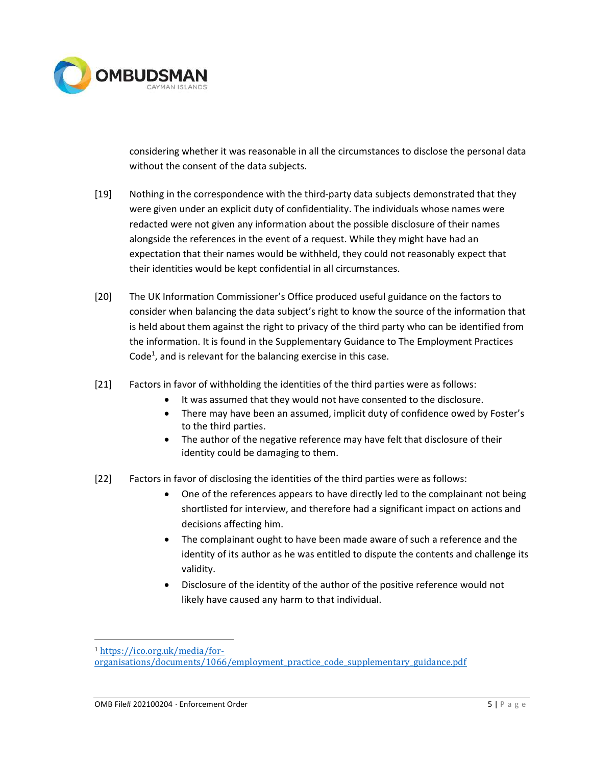

considering whether it was reasonable in all the circumstances to disclose the personal data without the consent of the data subjects.

- [19] Nothing in the correspondence with the third-party data subjects demonstrated that they were given under an explicit duty of confidentiality. The individuals whose names were redacted were not given any information about the possible disclosure of their names alongside the references in the event of a request. While they might have had an expectation that their names would be withheld, they could not reasonably expect that their identities would be kept confidential in all circumstances.
- [20] The UK Information Commissioner's Office produced useful guidance on the factors to consider when balancing the data subject's right to know the source of the information that is held about them against the right to privacy of the third party who can be identified from the information. It is found in the Supplementary Guidance to The Employment Practices Code<sup>1</sup>, and is relevant for the balancing exercise in this case.
- [21] Factors in favor of withholding the identities of the third parties were as follows:
	- It was assumed that they would not have consented to the disclosure.
	- There may have been an assumed, implicit duty of confidence owed by Foster's to the third parties.
	- The author of the negative reference may have felt that disclosure of their identity could be damaging to them.
- [22] Factors in favor of disclosing the identities of the third parties were as follows:
	- One of the references appears to have directly led to the complainant not being shortlisted for interview, and therefore had a significant impact on actions and decisions affecting him.
	- The complainant ought to have been made aware of such a reference and the identity of its author as he was entitled to dispute the contents and challenge its validity.
	- Disclosure of the identity of the author of the positive reference would not likely have caused any harm to that individual.

<sup>1</sup> https://ico.org.uk/media/for-

organisations/documents/1066/employment\_practice\_code\_supplementary\_guidance.pdf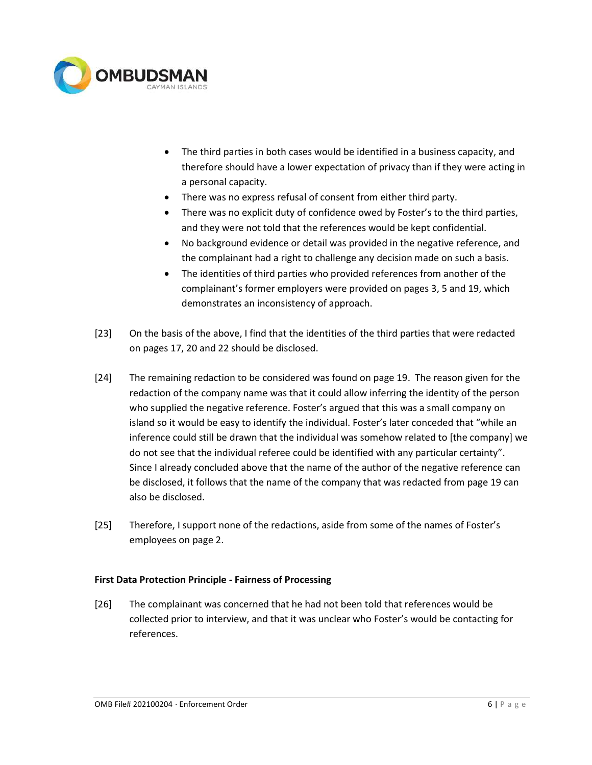

- The third parties in both cases would be identified in a business capacity, and therefore should have a lower expectation of privacy than if they were acting in a personal capacity.
- There was no express refusal of consent from either third party.
- There was no explicit duty of confidence owed by Foster's to the third parties, and they were not told that the references would be kept confidential.
- No background evidence or detail was provided in the negative reference, and the complainant had a right to challenge any decision made on such a basis.
- The identities of third parties who provided references from another of the complainant's former employers were provided on pages 3, 5 and 19, which demonstrates an inconsistency of approach.
- [23] On the basis of the above, I find that the identities of the third parties that were redacted on pages 17, 20 and 22 should be disclosed.
- [24] The remaining redaction to be considered was found on page 19. The reason given for the redaction of the company name was that it could allow inferring the identity of the person who supplied the negative reference. Foster's argued that this was a small company on island so it would be easy to identify the individual. Foster's later conceded that "while an inference could still be drawn that the individual was somehow related to [the company] we do not see that the individual referee could be identified with any particular certainty". Since I already concluded above that the name of the author of the negative reference can be disclosed, it follows that the name of the company that was redacted from page 19 can also be disclosed.
- [25] Therefore, I support none of the redactions, aside from some of the names of Foster's employees on page 2.

### First Data Protection Principle - Fairness of Processing

[26] The complainant was concerned that he had not been told that references would be collected prior to interview, and that it was unclear who Foster's would be contacting for references.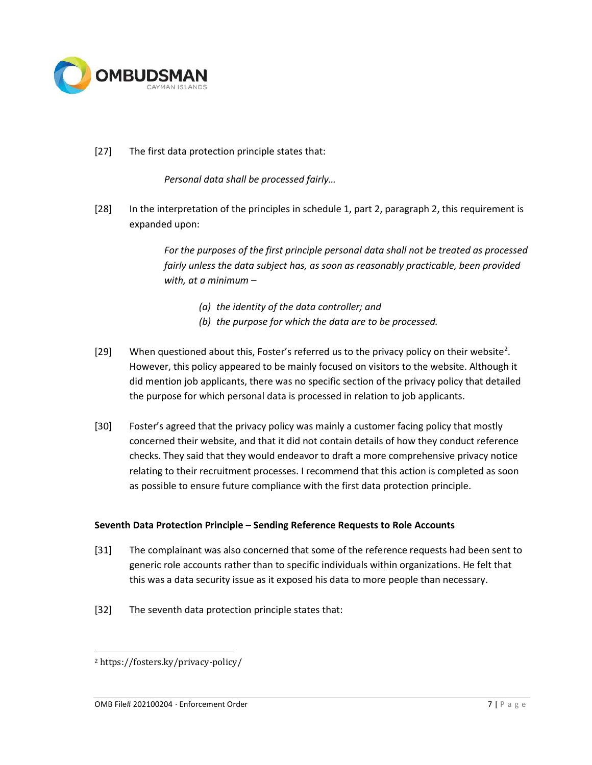

## [27] The first data protection principle states that:

Personal data shall be processed fairly…

[28] In the interpretation of the principles in schedule 1, part 2, paragraph 2, this requirement is expanded upon:

> For the purposes of the first principle personal data shall not be treated as processed fairly unless the data subject has, as soon as reasonably practicable, been provided with, at a minimum –

- (a) the identity of the data controller; and
- (b) the purpose for which the data are to be processed.
- [29] When questioned about this, Foster's referred us to the privacy policy on their website<sup>2</sup>. However, this policy appeared to be mainly focused on visitors to the website. Although it did mention job applicants, there was no specific section of the privacy policy that detailed the purpose for which personal data is processed in relation to job applicants.
- [30] Foster's agreed that the privacy policy was mainly a customer facing policy that mostly concerned their website, and that it did not contain details of how they conduct reference checks. They said that they would endeavor to draft a more comprehensive privacy notice relating to their recruitment processes. I recommend that this action is completed as soon as possible to ensure future compliance with the first data protection principle.

### Seventh Data Protection Principle – Sending Reference Requests to Role Accounts

- [31] The complainant was also concerned that some of the reference requests had been sent to generic role accounts rather than to specific individuals within organizations. He felt that this was a data security issue as it exposed his data to more people than necessary.
- [32] The seventh data protection principle states that:

<sup>2</sup> https://fosters.ky/privacy-policy/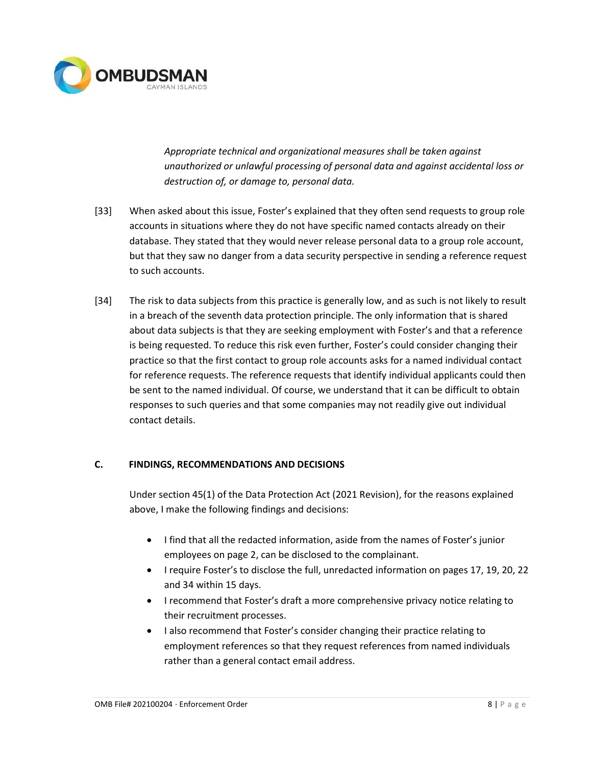

Appropriate technical and organizational measures shall be taken against unauthorized or unlawful processing of personal data and against accidental loss or destruction of, or damage to, personal data.

- [33] When asked about this issue, Foster's explained that they often send requests to group role accounts in situations where they do not have specific named contacts already on their database. They stated that they would never release personal data to a group role account, but that they saw no danger from a data security perspective in sending a reference request to such accounts.
- [34] The risk to data subjects from this practice is generally low, and as such is not likely to result in a breach of the seventh data protection principle. The only information that is shared about data subjects is that they are seeking employment with Foster's and that a reference is being requested. To reduce this risk even further, Foster's could consider changing their practice so that the first contact to group role accounts asks for a named individual contact for reference requests. The reference requests that identify individual applicants could then be sent to the named individual. Of course, we understand that it can be difficult to obtain responses to such queries and that some companies may not readily give out individual contact details.

# C. FINDINGS, RECOMMENDATIONS AND DECISIONS

Under section 45(1) of the Data Protection Act (2021 Revision), for the reasons explained above, I make the following findings and decisions:

- I find that all the redacted information, aside from the names of Foster's junior employees on page 2, can be disclosed to the complainant.
- I require Foster's to disclose the full, unredacted information on pages 17, 19, 20, 22 and 34 within 15 days.
- I recommend that Foster's draft a more comprehensive privacy notice relating to their recruitment processes.
- I also recommend that Foster's consider changing their practice relating to employment references so that they request references from named individuals rather than a general contact email address.